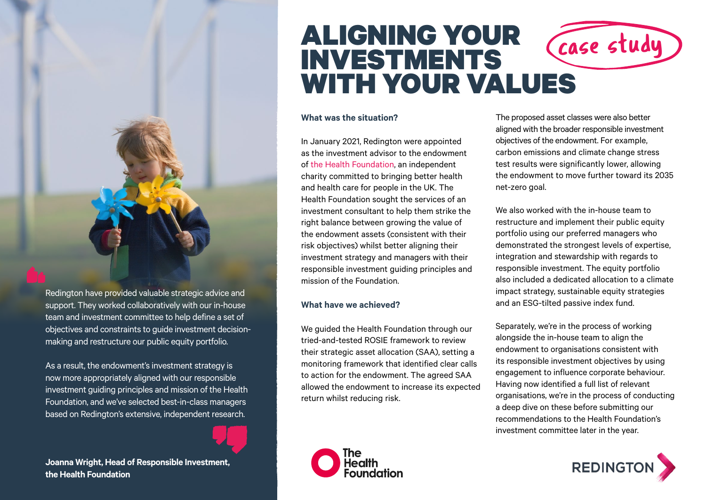

Redington have provided valuable strategic advice and support. They worked collaboratively with our in-house team and investment committee to help define a set of objectives and constraints to guide investment decisionmaking and restructure our public equity portfolio.

As a result, the endowment's investment strategy is now more appropriately aligned with our responsible investment guiding principles and mission of the Health Foundation, and we've selected best-in-class managers based on Redington's extensive, independent research.

**Joanna Wright, Head of Responsible Investment, the Health Foundation**

# ALIGNING YOUR INVESTMENTS WITH YOUR VALUES Case study

#### **What was the situation?**

In January 2021, Redington were appointed as the investment advisor to the endowment of [the Health Foundation,](https://www.health.org.uk/) an independent charity committed to bringing better health and health care for people in the UK. The Health Foundation sought the services of an investment consultant to help them strike the right balance between growing the value of the endowment assets (consistent with their risk objectives) whilst better aligning their investment strategy and managers with their responsible investment guiding principles and mission of the Foundation.

#### **What have we achieved?**

We guided the Health Foundation through our tried-and-tested ROSIE framework to review their strategic asset allocation (SAA), setting a monitoring framework that identified clear calls to action for the endowment. The agreed SAA allowed the endowment to increase its expected return whilst reducing risk.



The proposed asset classes were also better aligned with the broader responsible investment objectives of the endowment. For example, carbon emissions and climate change stress test results were significantly lower, allowing the endowment to move further toward its 2035 net-zero goal.

We also worked with the in-house team to restructure and implement their public equity portfolio using our preferred managers who demonstrated the strongest levels of expertise, integration and stewardship with regards to responsible investment. The equity portfolio also included a dedicated allocation to a climate impact strategy, sustainable equity strategies and an ESG-tilted passive index fund.

Separately, we're in the process of working alongside the in-house team to align the endowment to organisations consistent with its responsible investment objectives by using engagement to influence corporate behaviour. Having now identified a full list of relevant organisations, we're in the process of conducting a deep dive on these before submitting our recommendations to the Health Foundation's investment committee later in the year.